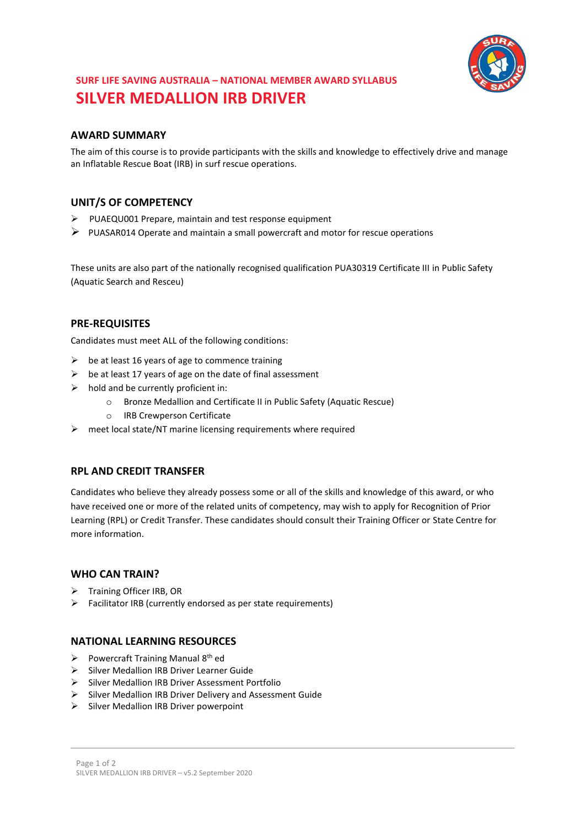

# **SURF LIFE SAVING AUSTRALIA – NATIONAL MEMBER AWARD SYLLABUS SILVER MEDALLION IRB DRIVER**

## **AWARD SUMMARY**

The aim of this course is to provide participants with the skills and knowledge to effectively drive and manage an Inflatable Rescue Boat (IRB) in surf rescue operations.

## **UNIT/S OF COMPETENCY**

- $\triangleright$  PUAEQU001 Prepare, maintain and test response equipment
- $\triangleright$  PUASAR014 Operate and maintain a small powercraft and motor for rescue operations

These units are also part of the nationally recognised qualification PUA30319 Certificate III in Public Safety (Aquatic Search and Resceu)

## **PRE-REQUISITES**

Candidates must meet ALL of the following conditions:

- $\triangleright$  be at least 16 years of age to commence training
- $\triangleright$  be at least 17 years of age on the date of final assessment
- $\triangleright$  hold and be currently proficient in:
	- o Bronze Medallion and Certificate II in Public Safety (Aquatic Rescue)
	- o IRB Crewperson Certificate
- $\triangleright$  meet local state/NT marine licensing requirements where required

## **RPL AND CREDIT TRANSFER**

Candidates who believe they already possess some or all of the skills and knowledge of this award, or who have received one or more of the related units of competency, may wish to apply for Recognition of Prior Learning (RPL) or Credit Transfer. These candidates should consult their Training Officer or State Centre for more information.

## **WHO CAN TRAIN?**

- $\triangleright$  Training Officer IRB, OR
- $\triangleright$  Facilitator IRB (currently endorsed as per state requirements)

## **NATIONAL LEARNING RESOURCES**

- Powercraft Training Manual  $8<sup>th</sup>$  ed
- Silver Medallion IRB Driver Learner Guide
- $\triangleright$  Silver Medallion IRB Driver Assessment Portfolio
- $\triangleright$  Silver Medallion IRB Driver Delivery and Assessment Guide
- $\triangleright$  Silver Medallion IRB Driver powerpoint